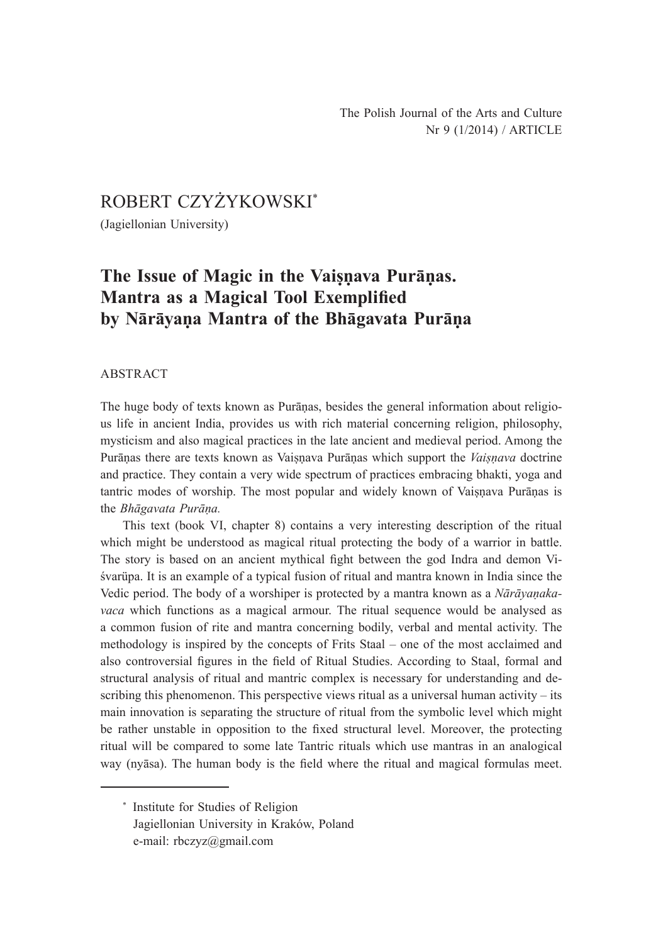# ROBERT CZYŻYKOWSKI\*

(Jagiellonian University)

# **The Issue of Magic in the Vaiṣṇava Purāṇas. Mantra as a Magical Tool Exemplified by Nārāyaṇa Mantra of the Bhāgavata Purāṇa**

## ABSTRACT

The huge body of texts known as Purāṇas, besides the general information about religious life in ancient India, provides us with rich material concerning religion, philosophy, mysticism and also magical practices in the late ancient and medieval period. Among the Purāṇas there are texts known as Vaiṣṇava Purāṇas which support the *Vaiṣṇava* doctrine and practice. They contain a very wide spectrum of practices embracing bhakti, yoga and tantric modes of worship. The most popular and widely known of Vaisnava Purānas is the *Bhāgavata Purāṇa.* 

This text (book VI, chapter 8) contains a very interesting description of the ritual which might be understood as magical ritual protecting the body of a warrior in battle. The story is based on an ancient mythical fight between the god Indra and demon Viśvarüpa. It is an example of a typical fusion of ritual and mantra known in India since the Vedic period. The body of a worshiper is protected by a mantra known as a *Nārāyaṇakavaca* which functions as a magical armour. The ritual sequence would be analysed as a common fusion of rite and mantra concerning bodily, verbal and mental activity. The methodology is inspired by the concepts of Frits Staal – one of the most acclaimed and also controversial figures in the field of Ritual Studies. According to Staal, formal and structural analysis of ritual and mantric complex is necessary for understanding and describing this phenomenon. This perspective views ritual as a universal human activity – its main innovation is separating the structure of ritual from the symbolic level which might be rather unstable in opposition to the fixed structural level. Moreover, the protecting ritual will be compared to some late Tantric rituals which use mantras in an analogical way (nyāsa). The human body is the field where the ritual and magical formulas meet.

\* Institute for Studies of Religion Jagiellonian University in Kraków, Poland e-mail: rbczyz@gmail.com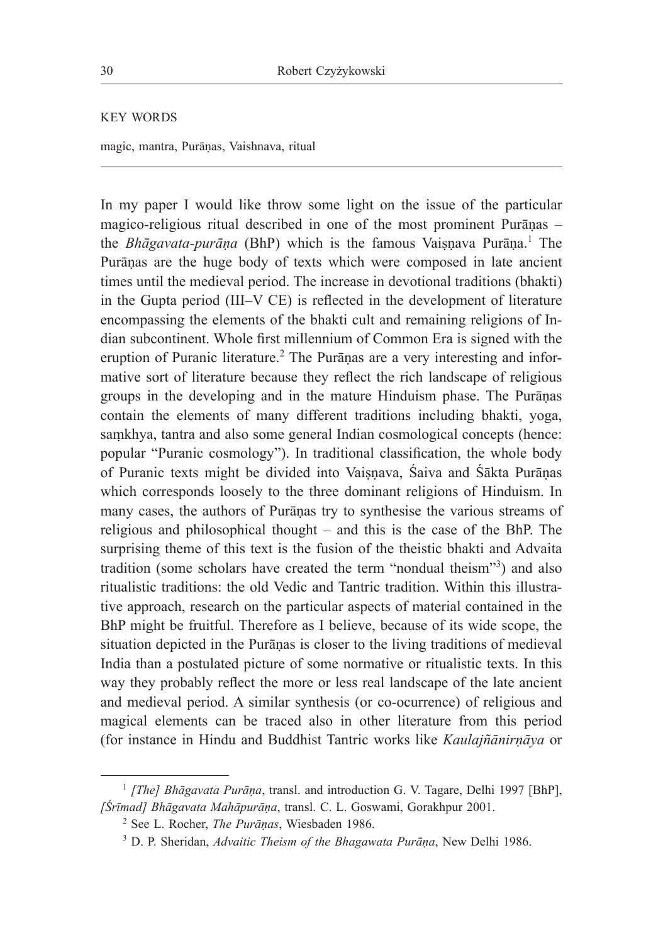KEY WORDS

magic, mantra, Purāṇas, Vaishnava, ritual

In my paper I would like throw some light on the issue of the particular magico-religious ritual described in one of the most prominent Purāṇas – the *Bhāgavata-purāṇa* (BhP) which is the famous Vaiṣṇava Purāṇa.<sup>1</sup> The Purāṇas are the huge body of texts which were composed in late ancient times until the medieval period. The increase in devotional traditions (bhakti) in the Gupta period (III‒V CE) is reflected in the development of literature encompassing the elements of the bhakti cult and remaining religions of Indian subcontinent. Whole first millennium of Common Era is signed with the eruption of Puranic literature.<sup>2</sup> The Purāṇas are a very interesting and informative sort of literature because they reflect the rich landscape of religious groups in the developing and in the mature Hinduism phase. The Purāṇas contain the elements of many different traditions including bhakti, yoga, saṃkhya, tantra and also some general Indian cosmological concepts (hence: popular "Puranic cosmology"). In traditional classification, the whole body of Puranic texts might be divided into Vaiṣṇava, Śaiva and Śākta Purāṇas which corresponds loosely to the three dominant religions of Hinduism. In many cases, the authors of Purāṇas try to synthesise the various streams of religious and philosophical thought – and this is the case of the BhP. The surprising theme of this text is the fusion of the theistic bhakti and Advaita tradition (some scholars have created the term "nondual theism"<sup>3</sup>) and also ritualistic traditions: the old Vedic and Tantric tradition. Within this illustrative approach, research on the particular aspects of material contained in the BhP might be fruitful. Therefore as I believe, because of its wide scope, the situation depicted in the Purāṇas is closer to the living traditions of medieval India than a postulated picture of some normative or ritualistic texts. In this way they probably reflect the more or less real landscape of the late ancient and medieval period. A similar synthesis (or co-ocurrence) of religious and magical elements can be traced also in other literature from this period (for instance in Hindu and Buddhist Tantric works like *Kaulajñānirṇāya* or

<sup>&</sup>lt;sup>1</sup> *[The] Bhāgavata Purāṇa*, transl. and introduction G. V. Tagare, Delhi 1997 [BhP], *[Śrīmad] Bhāgavata Mahāpurāṇa*, transl. C. L. Goswami, Gorakhpur 2001.

<sup>2</sup> See L. Rocher, *The Purāṇas*, Wiesbaden 1986.

<sup>3</sup> D. P. Sheridan, *Advaitic Theism of the Bhagawata Purāṇa*, New Delhi 1986.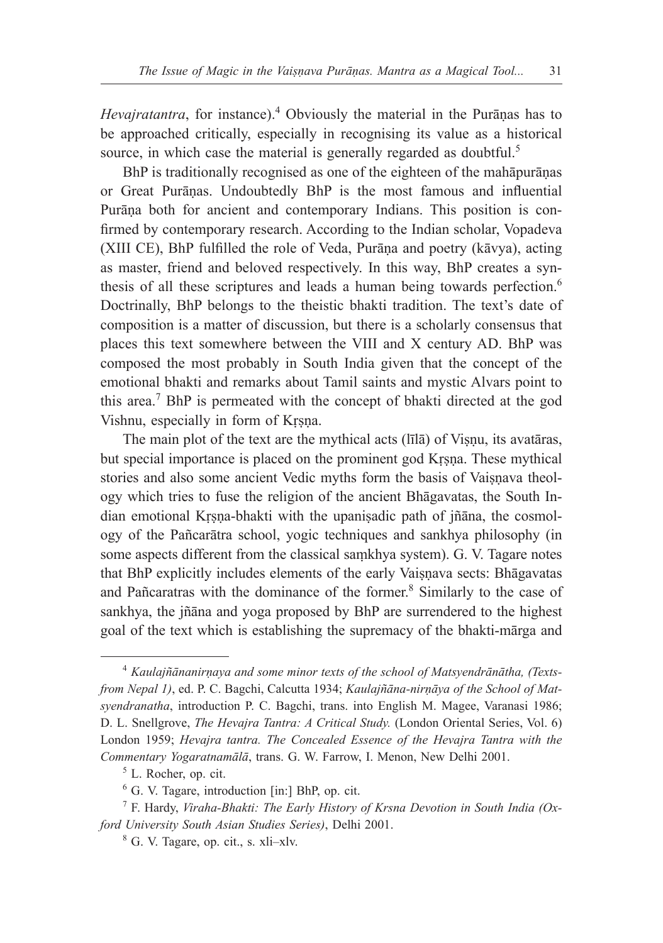*Hevajratantra*, for instance).<sup>4</sup> Obviously the material in the Purāṇas has to be approached critically, especially in recognising its value as a historical source, in which case the material is generally regarded as doubtful.<sup>5</sup>

BhP is traditionally recognised as one of the eighteen of the mahāpurāṇas or Great Purāṇas. Undoubtedly BhP is the most famous and influential Purāṇa both for ancient and contemporary Indians. This position is confirmed by contemporary research. According to the Indian scholar, Vopadeva (XIII CE), BhP fulfilled the role of Veda, Purāṇa and poetry (kāvya), acting as master, friend and beloved respectively. In this way, BhP creates a synthesis of all these scriptures and leads a human being towards perfection.<sup>6</sup> Doctrinally, BhP belongs to the theistic bhakti tradition. The text's date of composition is a matter of discussion, but there is a scholarly consensus that places this text somewhere between the VIII and X century AD. BhP was composed the most probably in South India given that the concept of the emotional bhakti and remarks about Tamil saints and mystic Alvars point to this area.<sup>7</sup> BhP is permeated with the concept of bhakti directed at the god Vishnu, especially in form of Krsna.

The main plot of the text are the mythical acts (līlā) of Visnu, its avatāras, but special importance is placed on the prominent god Krsna. These mythical stories and also some ancient Vedic myths form the basis of Vaisnava theology which tries to fuse the religion of the ancient Bhāgavatas, the South Indian emotional Kṛṣṇa-bhakti with the upaniṣadic path of jñāna, the cosmology of the Pañcarātra school, yogic techniques and sankhya philosophy (in some aspects different from the classical saṃkhya system). G. V. Tagare notes that BhP explicitly includes elements of the early Vaiṣṇava sects: Bhāgavatas and Pañcaratras with the dominance of the former.<sup>8</sup> Similarly to the case of sankhya, the jñāna and yoga proposed by BhP are surrendered to the highest goal of the text which is establishing the supremacy of the bhakti-mārga and

<sup>&</sup>lt;sup>4</sup> *Kaulajñānanirnaya and some minor texts of the school of Matsyendrānātha, (Textsfrom Nepal 1)*, ed. P. C. Bagchi, Calcutta 1934; *Kaulajñāna-nirṇāya of the School of Matsyendranatha*, introduction P. C. Bagchi, trans. into English M. Magee, Varanasi 1986; D. L. Snellgrove, *The Hevajra Tantra: A Critical Study.* (London Oriental Series, Vol. 6) London 1959; *Hevajra tantra. The Concealed Essence of the Hevajra Tantra with the Commentary Yogaratnamālā*, trans. G. W. Farrow, I. Menon, New Delhi 2001.

<sup>5</sup> L. Rocher, op. cit.

<sup>6</sup> G. V. Tagare, introduction [in:] BhP, op. cit.

<sup>7</sup> F. Hardy, *Viraha-Bhakti: The Early History of Krsna Devotion in South India (Oxford University South Asian Studies Series)*, Delhi 2001.

<sup>&</sup>lt;sup>8</sup> G. V. Tagare, op. cit., s. xli-xlv.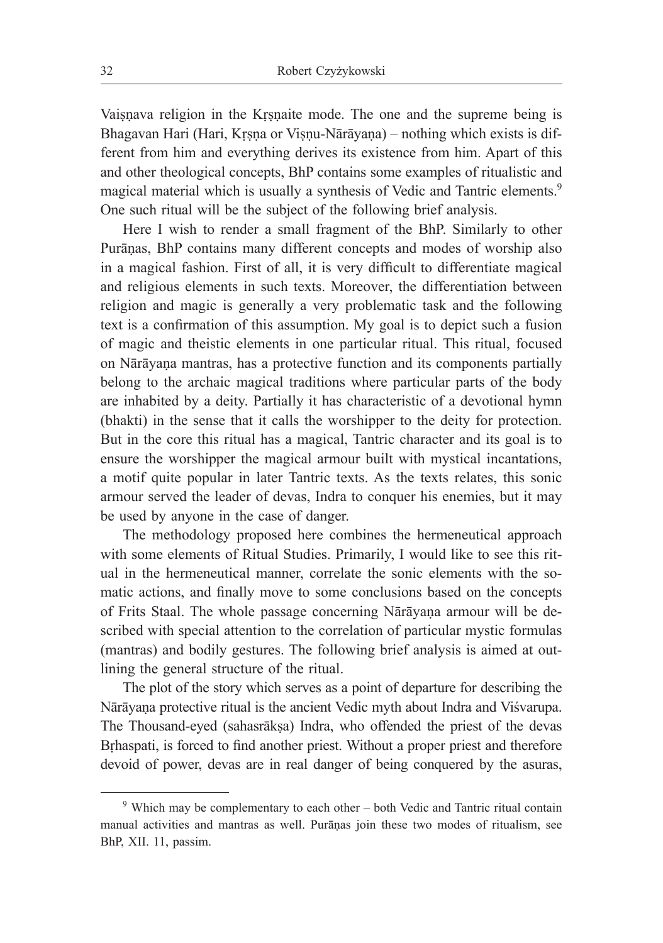Vaisnava religion in the Krsnaite mode. The one and the supreme being is Bhagavan Hari (Hari, Krsna or Visnu-Nārāyana) – nothing which exists is different from him and everything derives its existence from him. Apart of this and other theological concepts, BhP contains some examples of ritualistic and magical material which is usually a synthesis of Vedic and Tantric elements.<sup>9</sup> One such ritual will be the subject of the following brief analysis.

Here I wish to render a small fragment of the BhP. Similarly to other Purāṇas, BhP contains many different concepts and modes of worship also in a magical fashion. First of all, it is very difficult to differentiate magical and religious elements in such texts. Moreover, the differentiation between religion and magic is generally a very problematic task and the following text is a confirmation of this assumption. My goal is to depict such a fusion of magic and theistic elements in one particular ritual. This ritual, focused on Nārāyaṇa mantras, has a protective function and its components partially belong to the archaic magical traditions where particular parts of the body are inhabited by a deity. Partially it has characteristic of a devotional hymn (bhakti) in the sense that it calls the worshipper to the deity for protection. But in the core this ritual has a magical, Tantric character and its goal is to ensure the worshipper the magical armour built with mystical incantations, a motif quite popular in later Tantric texts. As the texts relates, this sonic armour served the leader of devas, Indra to conquer his enemies, but it may be used by anyone in the case of danger.

The methodology proposed here combines the hermeneutical approach with some elements of Ritual Studies. Primarily, I would like to see this ritual in the hermeneutical manner, correlate the sonic elements with the somatic actions, and finally move to some conclusions based on the concepts of Frits Staal. The whole passage concerning Nārāyaṇa armour will be described with special attention to the correlation of particular mystic formulas (mantras) and bodily gestures. The following brief analysis is aimed at outlining the general structure of the ritual.

The plot of the story which serves as a point of departure for describing the Nārāyaṇa protective ritual is the ancient Vedic myth about Indra and Viśvarupa. The Thousand-eyed (sahasrākṣa) Indra, who offended the priest of the devas Brhaspati, is forced to find another priest. Without a proper priest and therefore devoid of power, devas are in real danger of being conquered by the asuras,

<sup>9</sup> Which may be complementary to each other – both Vedic and Tantric ritual contain manual activities and mantras as well. Purāṇas join these two modes of ritualism, see BhP, XII. 11, passim.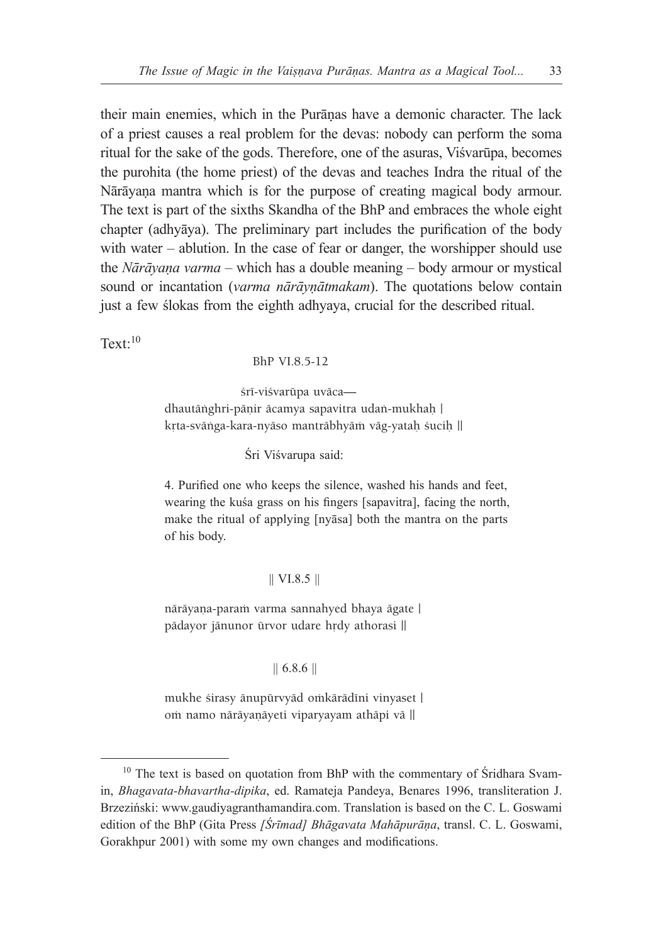their main enemies, which in the Purāṇas have a demonic character. The lack of a priest causes a real problem for the devas: nobody can perform the soma ritual for the sake of the gods. Therefore, one of the asuras, Viśvarūpa, becomes the purohita (the home priest) of the devas and teaches Indra the ritual of the Nārāyaṇa mantra which is for the purpose of creating magical body armour. The text is part of the sixths Skandha of the BhP and embraces the whole eight chapter (adhyāya). The preliminary part includes the purification of the body with water – ablution. In the case of fear or danger, the worshipper should use the *Nārāyaṇa varma* – which has a double meaning – body armour or mystical sound or incantation (*varma nārāyṇātmakam*). The quotations below contain just a few ślokas from the eighth adhyaya, crucial for the described ritual.

 $Text:10$ 

BhP VI.8.5-12

śrī-viśvarūpa uvācadhautānghri-pānir ācamya sapavitra udan-mukhah | krta-svänga-kara-nyäso manträbhyäm väg-yataḥ śuciḥ ||

Śri Viśvarupa said:

4. Purified one who keeps the silence, washed his hands and feet, wearing the kuśa grass on his fingers [sapavitra], facing the north, make the ritual of applying [nyāsa] both the mantra on the parts of his body.

#### || VI.8.5 ||

nārāyaṇa-paraṁ varma sannahyed bhaya āgate | pādayor jānunor ūrvor udare hrdy athorasi ||

## || 6.8.6 ||

mukhe śirasy ānupūrvyād omkārādīni vinyaset | om namo nārāyaņāyeti viparyayam athāpi vā ||

 $10$  The text is based on quotation from BhP with the commentary of Sridhara Svamin, *Bhagavata-bhavartha-dipika*, ed. Ramateja Pandeya, Benares 1996, transliteration J. Brzeziński: www.gaudiyagranthamandira.com. Translation is based on the C. L. Goswami edition of the BhP (Gita Press *[Śrīmad] Bhāgavata Mahāpurāṇa*, transl. C. L. Goswami, Gorakhpur 2001) with some my own changes and modifications.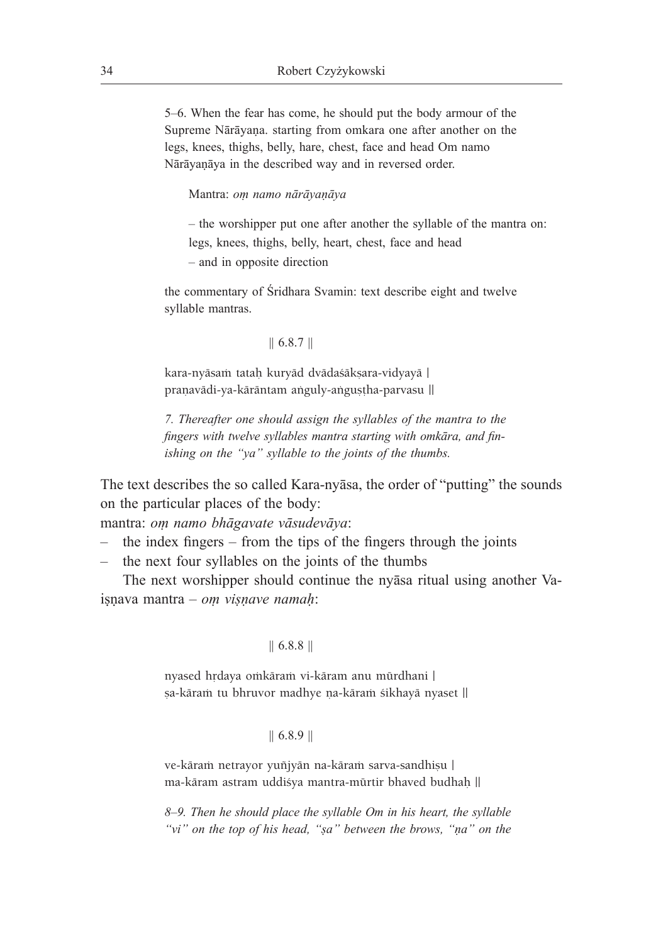5‒6. When the fear has come, he should put the body armour of the Supreme Nārāyaṇa. starting from omkara one after another on the legs, knees, thighs, belly, hare, chest, face and head Om namo Nārāyaṇāya in the described way and in reversed order.

Mantra: *oṃ namo nārāyaṇāya* 

– the worshipper put one after another the syllable of the mantra on: legs, knees, thighs, belly, heart, chest, face and head – and in opposite direction

the commentary of Śridhara Svamin: text describe eight and twelve syllable mantras.

# || 6.8.7 ||

kara-nyāsam tatah kuryād dvādaśākṣara-vidyayā | pranavādi-ya-kārāntam anguly-angustha-parvasu ||

*7. Thereafter one should assign the syllables of the mantra to the fingers with twelve syllables mantra starting with omkāra, and finishing on the "ya" syllable to the joints of the thumbs.* 

The text describes the so called Kara-nyāsa, the order of "putting" the sounds on the particular places of the body:

mantra: *oṃ namo bhāgavate vāsudevāya*:

- the index fingers from the tips of the fingers through the joints
- the next four syllables on the joints of the thumbs

The next worshipper should continue the nyāsa ritual using another Vaiṣṇava mantra – *oṃ viṣṇave namaḥ*:

#### || 6.8.8 ||

nyased hrdaya omkāram vi-kāram anu mūrdhani | șa-kāram tu bhruvor madhye na-kāram śikhayā nyaset ||

## || 6.8.9 ||

ve-kāram netrayor yuñjyān na-kāram sarva-sandhisu | ma-käram astram uddiçya mantra-mürtir bhaved budhaù ||

*8‒9. Then he should place the syllable Om in his heart, the syllable "vi" on the top of his head, "ṣa" between the brows, "ṇa" on the*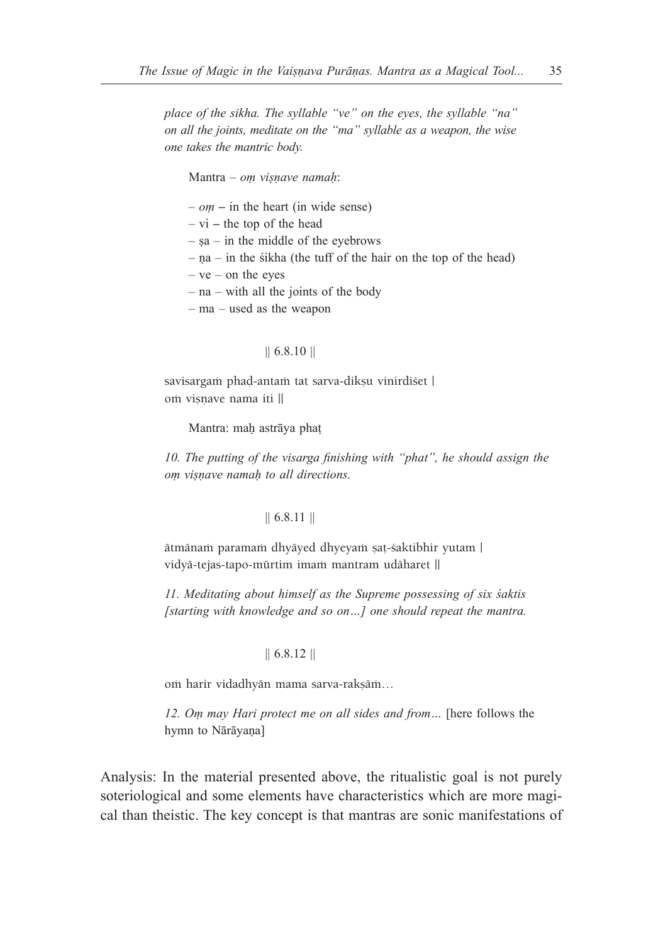*place of the sikha. The syllable "ve" on the eyes, the syllable "na" on all the joints, meditate on the "ma" syllable as a weapon, the wise one takes the mantric body.*

Mantra ‒ *oṃ viṣṇave namaḥ*:

– *oṃ* **–** in the heart (in wide sense)

– vi **–** the top of the head

 $-$  sa – in the middle of the eyebrows

 $-$  na  $-$  in the sikha (the tuff of the hair on the top of the head)

 $-$  ve  $-$  on the eyes

– na – with all the joints of the body

– ma – used as the weapon

## || 6.8.10 ||

savisargam phad-antam tat sarva-dikṣu vinirdiśet | om visnave nama iti ||

Mantra: mah astrāya phat

*10. The putting of the visarga finishing with "phat", he should assign the oṃ viṣṇave namaḥ to all directions.* 

#### || 6.8.11 ||

ätmänam paramam dhyäyed dhyeyam sat-śaktibhir yutam | vidyā-tejas-tapo-mūrtim imam mantram udāharet ||

*11. Meditating about himself as the Supreme possessing of six śaktis [starting with knowledge and so on…] one should repeat the mantra.*

#### || 6.8.12 ||

om harir vidadhyän mama sarva-rakṣām...

*12. Oṃ may Hari protect me on all sides and from…* [here follows the hymn to Nārāyaṇa]

Analysis: In the material presented above, the ritualistic goal is not purely soteriological and some elements have characteristics which are more magical than theistic. The key concept is that mantras are sonic manifestations of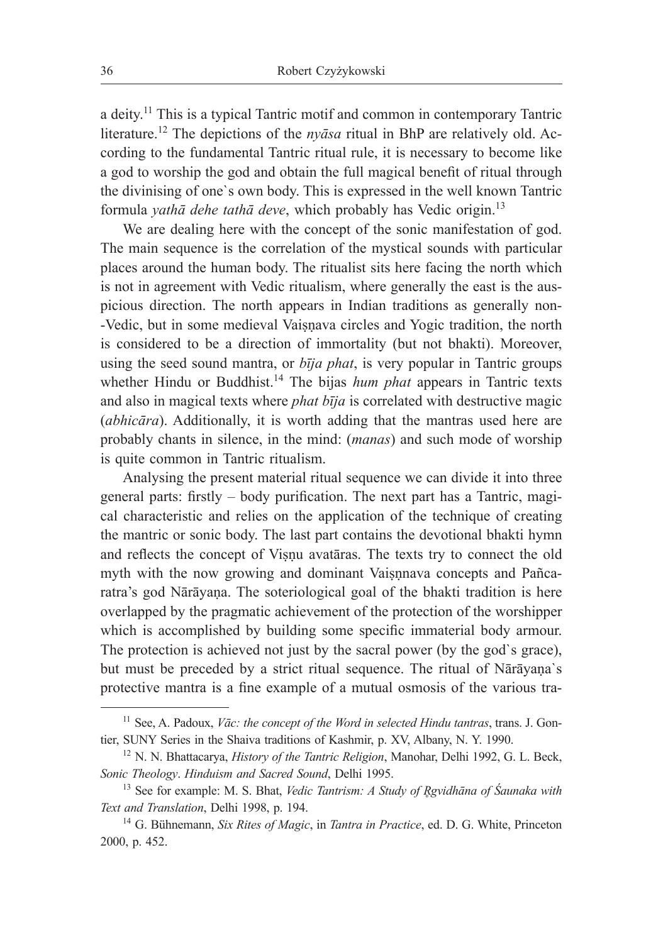a deity.<sup>11</sup> This is a typical Tantric motif and common in contemporary Tantric literature.<sup>12</sup> The depictions of the *nyāsa* ritual in BhP are relatively old. According to the fundamental Tantric ritual rule, it is necessary to become like a god to worship the god and obtain the full magical benefit of ritual through the divinising of one`s own body. This is expressed in the well known Tantric formula *yathā dehe tathā deve*, which probably has Vedic origin.<sup>13</sup>

We are dealing here with the concept of the sonic manifestation of god. The main sequence is the correlation of the mystical sounds with particular places around the human body. The ritualist sits here facing the north which is not in agreement with Vedic ritualism, where generally the east is the auspicious direction. The north appears in Indian traditions as generally non- -Vedic, but in some medieval Vaiṣṇava circles and Yogic tradition, the north is considered to be a direction of immortality (but not bhakti). Moreover, using the seed sound mantra, or *bīja phat*, is very popular in Tantric groups whether Hindu or Buddhist.<sup>14</sup> The bijas *hum phat* appears in Tantric texts and also in magical texts where *phat bīja* is correlated with destructive magic (*abhicāra*). Additionally, it is worth adding that the mantras used here are probably chants in silence, in the mind: (*manas*) and such mode of worship is quite common in Tantric ritualism.

Analysing the present material ritual sequence we can divide it into three general parts: firstly – body purification. The next part has a Tantric, magical characteristic and relies on the application of the technique of creating the mantric or sonic body. The last part contains the devotional bhakti hymn and reflects the concept of Viṣṇu avatāras. The texts try to connect the old myth with the now growing and dominant Vaiṣṇnava concepts and Pañcaratra's god Nārāyaṇa. The soteriological goal of the bhakti tradition is here overlapped by the pragmatic achievement of the protection of the worshipper which is accomplished by building some specific immaterial body armour. The protection is achieved not just by the sacral power (by the god`s grace), but must be preceded by a strict ritual sequence. The ritual of Nārāyaṇa`s protective mantra is a fine example of a mutual osmosis of the various tra-

<sup>11</sup> See, A. Padoux, *Vāc: the concept of the Word in selected Hindu tantras*, trans. J. Gontier, SUNY Series in the Shaiva traditions of Kashmir, p. XV, Albany, N. Y. 1990.

<sup>12</sup> N. N. Bhattacarya, *History of the Tantric Religion*, Manohar, Delhi 1992, G. L. Beck, *Sonic Theology*. *Hinduism and Sacred Sound*, Delhi 1995.

<sup>13</sup> See for example: M. S. Bhat, *Vedic Tantrism: A Study of R̥gvidhāna of Śaunaka with Text and Translation*, Delhi 1998, p. 194.

<sup>14</sup> G. Bühnemann, *Six Rites of Magic*, in *Tantra in Practice*, ed. D. G. White, Princeton 2000, p. 452.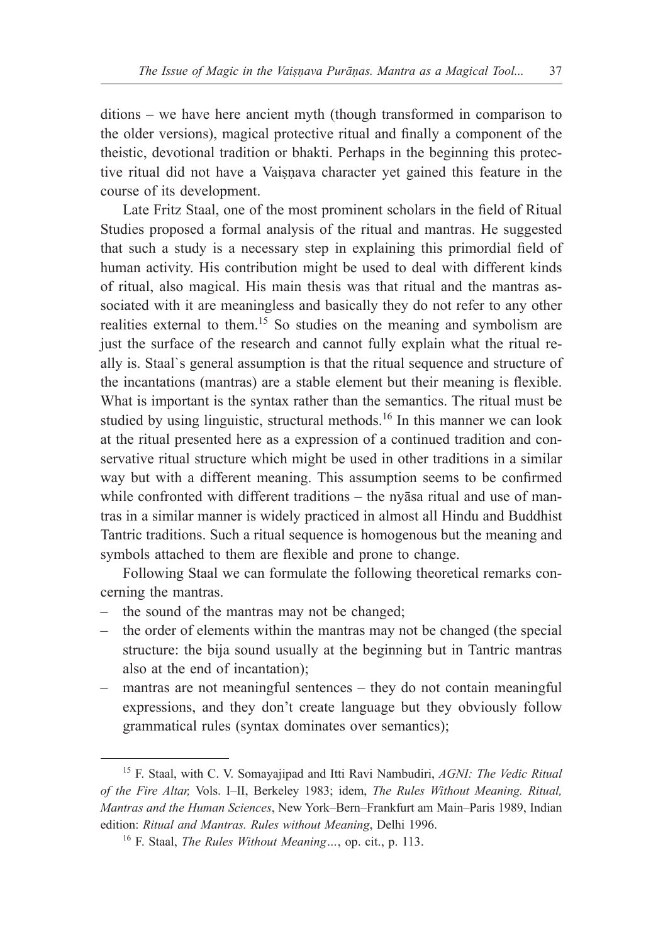ditions – we have here ancient myth (though transformed in comparison to the older versions), magical protective ritual and finally a component of the theistic, devotional tradition or bhakti. Perhaps in the beginning this protective ritual did not have a Vaiṣṇava character yet gained this feature in the course of its development.

Late Fritz Staal, one of the most prominent scholars in the field of Ritual Studies proposed a formal analysis of the ritual and mantras. He suggested that such a study is a necessary step in explaining this primordial field of human activity. His contribution might be used to deal with different kinds of ritual, also magical. His main thesis was that ritual and the mantras associated with it are meaningless and basically they do not refer to any other realities external to them.<sup>15</sup> So studies on the meaning and symbolism are just the surface of the research and cannot fully explain what the ritual really is. Staal`s general assumption is that the ritual sequence and structure of the incantations (mantras) are a stable element but their meaning is flexible. What is important is the syntax rather than the semantics. The ritual must be studied by using linguistic, structural methods.<sup>16</sup> In this manner we can look at the ritual presented here as a expression of a continued tradition and conservative ritual structure which might be used in other traditions in a similar way but with a different meaning. This assumption seems to be confirmed while confronted with different traditions – the nyāsa ritual and use of mantras in a similar manner is widely practiced in almost all Hindu and Buddhist Tantric traditions. Such a ritual sequence is homogenous but the meaning and symbols attached to them are flexible and prone to change.

Following Staal we can formulate the following theoretical remarks concerning the mantras.

- the sound of the mantras may not be changed;
- the order of elements within the mantras may not be changed (the special structure: the bija sound usually at the beginning but in Tantric mantras also at the end of incantation);
- mantras are not meaningful sentences they do not contain meaningful expressions, and they don't create language but they obviously follow grammatical rules (syntax dominates over semantics);

<sup>15</sup> F. Staal, with C. V. Somayajipad and Itti Ravi Nambudiri, *AGNI: The Vedic Ritual of the Fire Altar,* Vols. I‒II, Berkeley 1983; idem, *The Rules Without Meaning. Ritual, Mantras and the Human Sciences*, New York‒Bern‒Frankfurt am Main‒Paris 1989, Indian edition: *Ritual and Mantras. Rules without Meaning*, Delhi 1996.

<sup>16</sup> F. Staal, *The Rules Without Meaning…*, op. cit., p. 113.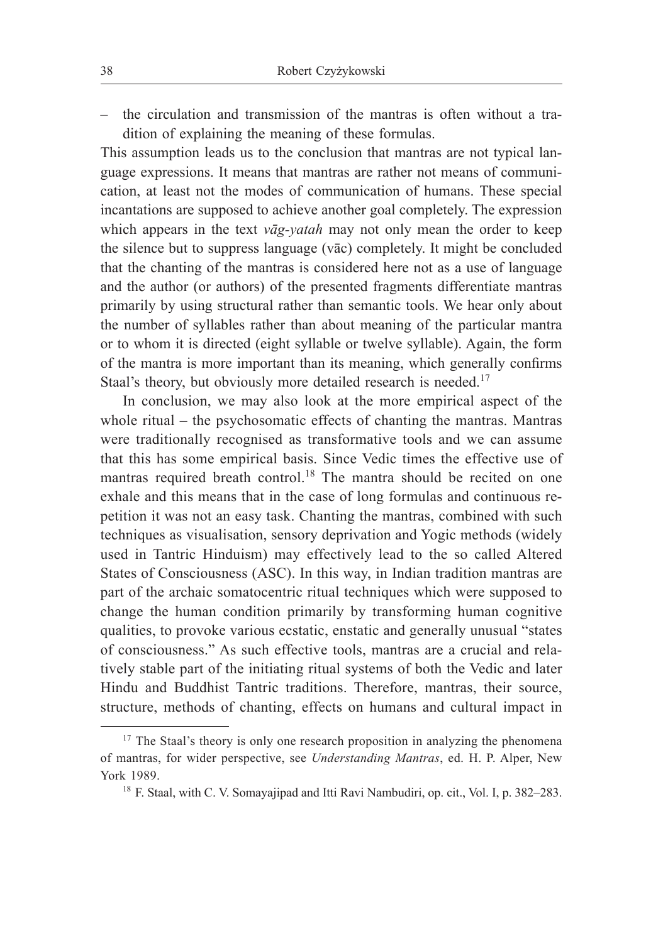– the circulation and transmission of the mantras is often without a tradition of explaining the meaning of these formulas.

This assumption leads us to the conclusion that mantras are not typical language expressions. It means that mantras are rather not means of communication, at least not the modes of communication of humans. These special incantations are supposed to achieve another goal completely. The expression which appears in the text *vāg-yatah* may not only mean the order to keep the silence but to suppress language (vāc) completely. It might be concluded that the chanting of the mantras is considered here not as a use of language and the author (or authors) of the presented fragments differentiate mantras primarily by using structural rather than semantic tools. We hear only about the number of syllables rather than about meaning of the particular mantra or to whom it is directed (eight syllable or twelve syllable). Again, the form of the mantra is more important than its meaning, which generally confirms Staal's theory, but obviously more detailed research is needed.<sup>17</sup>

In conclusion, we may also look at the more empirical aspect of the whole ritual  $-$  the psychosomatic effects of chanting the mantras. Mantras were traditionally recognised as transformative tools and we can assume that this has some empirical basis. Since Vedic times the effective use of mantras required breath control.<sup>18</sup> The mantra should be recited on one exhale and this means that in the case of long formulas and continuous repetition it was not an easy task. Chanting the mantras, combined with such techniques as visualisation, sensory deprivation and Yogic methods (widely used in Tantric Hinduism) may effectively lead to the so called Altered States of Consciousness (ASC). In this way, in Indian tradition mantras are part of the archaic somatocentric ritual techniques which were supposed to change the human condition primarily by transforming human cognitive qualities, to provoke various ecstatic, enstatic and generally unusual "states of consciousness." As such effective tools, mantras are a crucial and relatively stable part of the initiating ritual systems of both the Vedic and later Hindu and Buddhist Tantric traditions. Therefore, mantras, their source, structure, methods of chanting, effects on humans and cultural impact in

<sup>&</sup>lt;sup>17</sup> The Staal's theory is only one research proposition in analyzing the phenomena of mantras, for wider perspective, see *Understanding Mantras*, ed. H. P. Alper, New York 1989.

<sup>&</sup>lt;sup>18</sup> F. Staal, with C. V. Somayajipad and Itti Ravi Nambudiri, op. cit., Vol. I, p. 382-283.